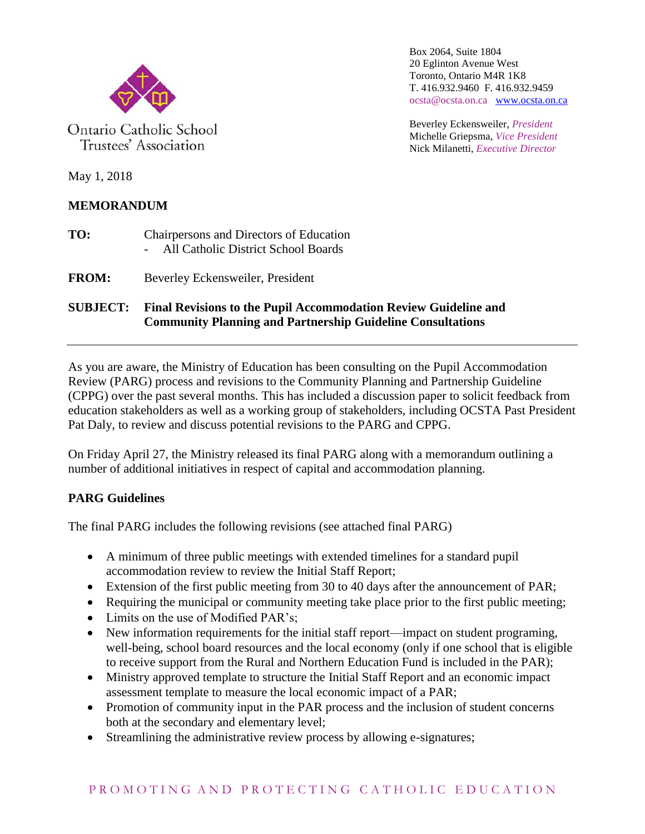

Ontario Catholic School Trustees' Association

Box 2064, Suite 1804 20 Eglinton Avenue West Toronto, Ontario M4R 1K8 T. 416.932.9460 F. 416.932.9459 ocsta@ocsta.on.ca [www.ocsta.on.ca](http://www.ocsta.on.ca/)

Beverley Eckensweiler, *President* Michelle Griepsma, *Vice President* Nick Milanetti, *Executive Director*

May 1, 2018

# **MEMORANDUM**

- **TO:** Chairpersons and Directors of Education - All Catholic District School Boards
- **FROM:** Beverley Eckensweiler, President

### **SUBJECT: Final Revisions to the Pupil Accommodation Review Guideline and Community Planning and Partnership Guideline Consultations**

As you are aware, the Ministry of Education has been consulting on the Pupil Accommodation Review (PARG) process and revisions to the Community Planning and Partnership Guideline (CPPG) over the past several months. This has included a discussion paper to solicit feedback from education stakeholders as well as a working group of stakeholders, including OCSTA Past President Pat Daly, to review and discuss potential revisions to the PARG and CPPG.

On Friday April 27, the Ministry released its final PARG along with a memorandum outlining a number of additional initiatives in respect of capital and accommodation planning.

## **PARG Guidelines**

The final PARG includes the following revisions (see attached final PARG)

- A minimum of three public meetings with extended timelines for a standard pupil accommodation review to review the Initial Staff Report;
- Extension of the first public meeting from 30 to 40 days after the announcement of PAR;
- Requiring the municipal or community meeting take place prior to the first public meeting;
- Limits on the use of Modified PAR's:
- New information requirements for the initial staff report—impact on student programing, well-being, school board resources and the local economy (only if one school that is eligible to receive support from the Rural and Northern Education Fund is included in the PAR);
- Ministry approved template to structure the Initial Staff Report and an economic impact assessment template to measure the local economic impact of a PAR;
- Promotion of community input in the PAR process and the inclusion of student concerns both at the secondary and elementary level;
- Streamlining the administrative review process by allowing e-signatures;